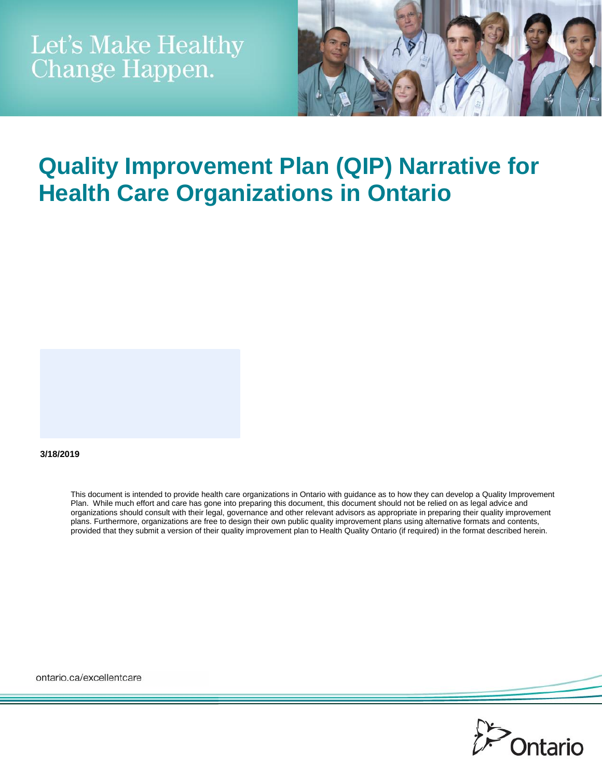

# **Quality Improvement Plan (QIP) Narrative for Health Care Organizations in Ontario**

#### **3/18/2019**

This document is intended to provide health care organizations in Ontario with guidance as to how they can develop a Quality Improvement Plan. While much effort and care has gone into preparing this document, this document should not be relied on as legal advice and organizations should consult with their legal, governance and other relevant advisors as appropriate in preparing their quality improvement plans. Furthermore, organizations are free to design their own public quality improvement plans using alternative formats and contents, provided that they submit a version of their quality improvement plan to Health Quality Ontario (if required) in the format described herein.

ontario.ca/excellentcare

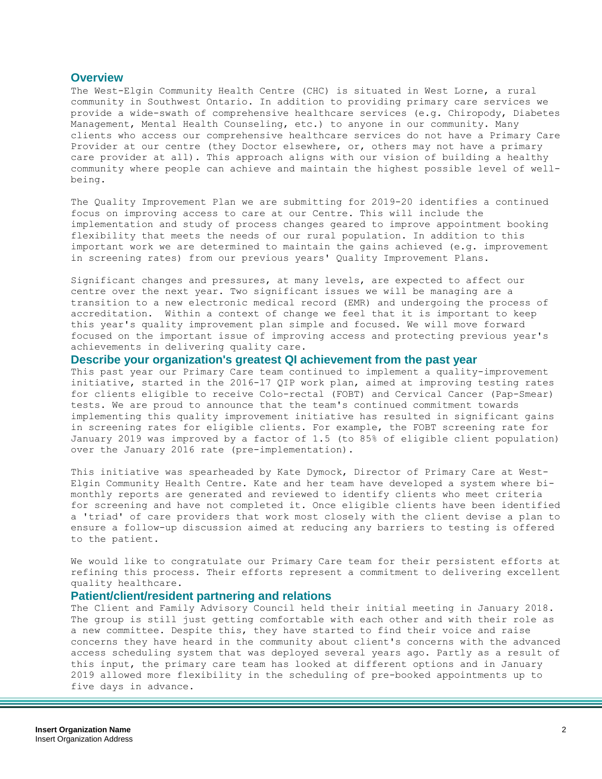#### **Overview**

The West-Elgin Community Health Centre (CHC) is situated in West Lorne, a rural community in Southwest Ontario. In addition to providing primary care services we provide a wide-swath of comprehensive healthcare services (e.g. Chiropody, Diabetes Management, Mental Health Counseling, etc.) to anyone in our community. Many clients who access our comprehensive healthcare services do not have a Primary Care Provider at our centre (they Doctor elsewhere, or, others may not have a primary care provider at all). This approach aligns with our vision of building a healthy community where people can achieve and maintain the highest possible level of wellbeing.

The Quality Improvement Plan we are submitting for 2019-20 identifies a continued focus on improving access to care at our Centre. This will include the implementation and study of process changes geared to improve appointment booking flexibility that meets the needs of our rural population. In addition to this important work we are determined to maintain the gains achieved (e.g. improvement in screening rates) from our previous years' Quality Improvement Plans.

Significant changes and pressures, at many levels, are expected to affect our centre over the next year. Two significant issues we will be managing are a transition to a new electronic medical record (EMR) and undergoing the process of accreditation. Within a context of change we feel that it is important to keep this year's quality improvement plan simple and focused. We will move forward focused on the important issue of improving access and protecting previous year's achievements in delivering quality care.

**Describe your organization's greatest QI achievement from the past year**

This past year our Primary Care team continued to implement a quality-improvement initiative, started in the 2016-17 QIP work plan, aimed at improving testing rates for clients eligible to receive Colo-rectal (FOBT) and Cervical Cancer (Pap-Smear) tests. We are proud to announce that the team's continued commitment towards implementing this quality improvement initiative has resulted in significant gains in screening rates for eligible clients. For example, the FOBT screening rate for January 2019 was improved by a factor of 1.5 (to 85% of eligible client population) over the January 2016 rate (pre-implementation).

This initiative was spearheaded by Kate Dymock, Director of Primary Care at West-Elgin Community Health Centre. Kate and her team have developed a system where bimonthly reports are generated and reviewed to identify clients who meet criteria for screening and have not completed it. Once eligible clients have been identified a 'triad' of care providers that work most closely with the client devise a plan to ensure a follow-up discussion aimed at reducing any barriers to testing is offered to the patient.

We would like to congratulate our Primary Care team for their persistent efforts at refining this process. Their efforts represent a commitment to delivering excellent quality healthcare.

### **Patient/client/resident partnering and relations**

The Client and Family Advisory Council held their initial meeting in January 2018. The group is still just getting comfortable with each other and with their role as a new committee. Despite this, they have started to find their voice and raise concerns they have heard in the community about client's concerns with the advanced access scheduling system that was deployed several years ago. Partly as a result of this input, the primary care team has looked at different options and in January 2019 allowed more flexibility in the scheduling of pre-booked appointments up to five days in advance.